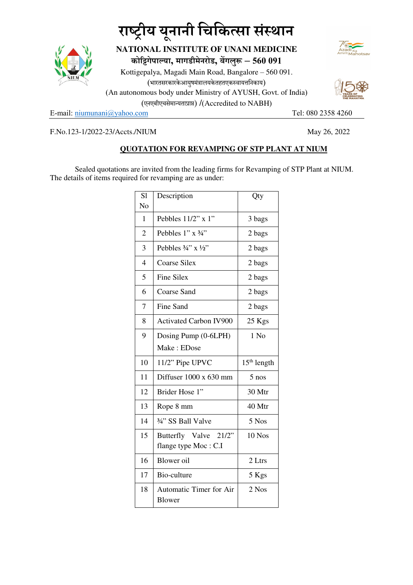## राष्ट्रीय यूनानी चिकित्सा संस्थान



**NATIONAL INSTITUTE OF UNANI MEDICINE कोगेपाया, मागडीमेनरोड, बगलु – 560 091**

Kottigepalya, Magadi Main Road, Bangalore – 560 091. (भारतसरकारकेआयुषमंत्रालयकेतहतएकस्वायत्तनिकाय) (An autonomous body under Ministry of AYUSH, Govt. of India) (एनएबीएचसेमायताा) /(Accredited to NABH)

E-mail: niumunani@yahoo.com Tel: 080 2358 4260



F.No.123-1/2022-23/Accts./NIUM May 26, 2022

## **QUOTATION FOR REVAMPING OF STP PLANT AT NIUM**

Sealed quotations are invited from the leading firms for Revamping of STP Plant at NIUM. The details of items required for revamping are as under:

| S <sub>1</sub><br>No | Description                                   | Qty           |
|----------------------|-----------------------------------------------|---------------|
| 1                    | Pebbles 11/2" x 1"                            | 3 bags        |
| $\overline{2}$       | Pebbles 1" x 3/4"                             | 2 bags        |
| 3                    | Pebbles $\frac{3}{4}$ " x $\frac{1}{2}$ "     | 2 bags        |
| $\overline{4}$       | <b>Coarse Silex</b>                           | 2 bags        |
| 5                    | <b>Fine Silex</b>                             | 2 bags        |
| 6                    | <b>Coarse Sand</b>                            | 2 bags        |
| $\overline{7}$       | Fine Sand                                     | 2 bags        |
| 8                    | <b>Activated Carbon IV900</b>                 | 25 Kgs        |
| 9                    | Dosing Pump (0-6LPH)                          | $1$ No        |
|                      | Make: EDose                                   |               |
| 10                   | 11/2" Pipe UPVC                               | $15th$ length |
| 11                   | Diffuser 1000 x 630 mm                        | $5$ nos       |
| 12                   | Brider Hose 1"                                | 30 Mtr        |
| 13                   | Rope 8 mm                                     | 40 Mtr        |
| 14                   | 3/4" SS Ball Valve                            | 5 Nos         |
| 15                   | Butterfly Valve 21/2"<br>flange type Moc: C.I | $10$ Nos      |
| 16                   | Blower oil                                    | 2 Ltrs        |
| 17                   | Bio-culture                                   | 5 Kgs         |
| 18                   | Automatic Timer for Air<br><b>Blower</b>      | 2 Nos         |